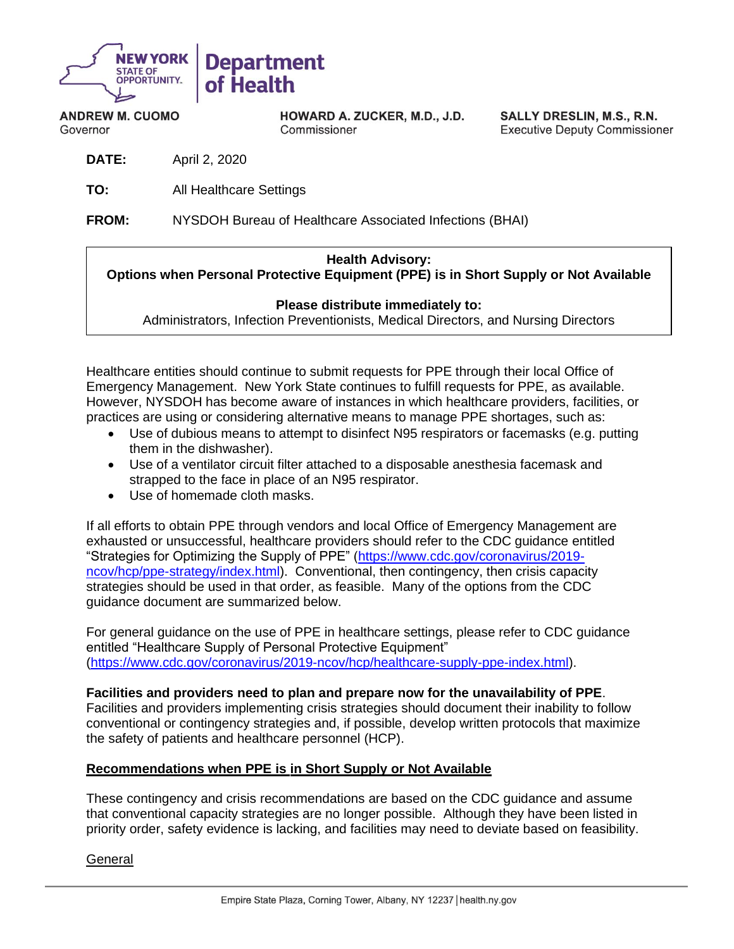

**ANDREW M. CUOMO** Governor

HOWARD A. ZUCKER, M.D., J.D. Commissioner

SALLY DRESLIN, M.S., R.N. **Executive Deputy Commissioner** 

- **DATE:** April 2, 2020
- **TO:** All Healthcare Settings
- **FROM:** NYSDOH Bureau of Healthcare Associated Infections (BHAI)

## **Health Advisory:**

**Options when Personal Protective Equipment (PPE) is in Short Supply or Not Available**

#### **Please distribute immediately to:**

Administrators, Infection Preventionists, Medical Directors, and Nursing Directors

Healthcare entities should continue to submit requests for PPE through their local Office of Emergency Management. New York State continues to fulfill requests for PPE, as available. However, NYSDOH has become aware of instances in which healthcare providers, facilities, or practices are using or considering alternative means to manage PPE shortages, such as:

- Use of dubious means to attempt to disinfect N95 respirators or facemasks (e.g. putting them in the dishwasher).
- Use of a ventilator circuit filter attached to a disposable anesthesia facemask and strapped to the face in place of an N95 respirator.
- Use of homemade cloth masks.

If all efforts to obtain PPE through vendors and local Office of Emergency Management are exhausted or unsuccessful, healthcare providers should refer to the CDC guidance entitled "Strategies for Optimizing the Supply of PPE" [\(https://www.cdc.gov/coronavirus/2019](https://www.cdc.gov/coronavirus/2019-ncov/hcp/ppe-strategy/index.html) [ncov/hcp/ppe-strategy/index.html\)](https://www.cdc.gov/coronavirus/2019-ncov/hcp/ppe-strategy/index.html). Conventional, then contingency, then crisis capacity strategies should be used in that order, as feasible. Many of the options from the CDC guidance document are summarized below.

For general guidance on the use of PPE in healthcare settings, please refer to CDC guidance entitled "Healthcare Supply of Personal Protective Equipment" [\(https://www.cdc.gov/coronavirus/2019-ncov/hcp/healthcare-supply-ppe-index.html\)](https://www.cdc.gov/coronavirus/2019-ncov/hcp/healthcare-supply-ppe-index.html).

**Facilities and providers need to plan and prepare now for the unavailability of PPE**. Facilities and providers implementing crisis strategies should document their inability to follow conventional or contingency strategies and, if possible, develop written protocols that maximize the safety of patients and healthcare personnel (HCP).

### **Recommendations when PPE is in Short Supply or Not Available**

These contingency and crisis recommendations are based on the CDC guidance and assume that conventional capacity strategies are no longer possible. Although they have been listed in priority order, safety evidence is lacking, and facilities may need to deviate based on feasibility.

General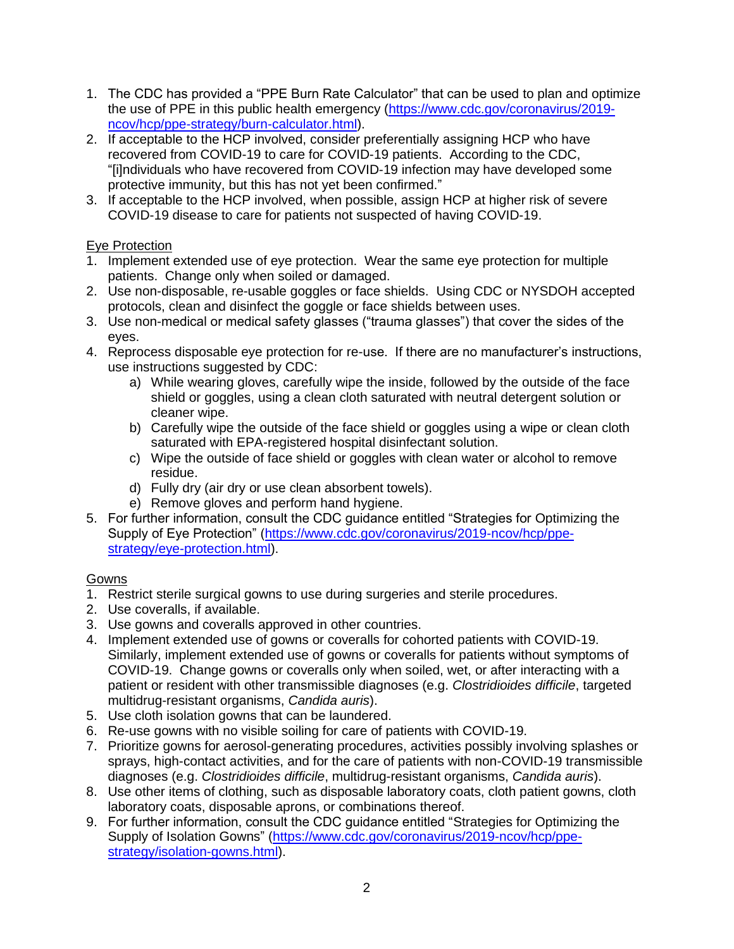- 1. The CDC has provided a "PPE Burn Rate Calculator" that can be used to plan and optimize the use of PPE in this public health emergency [\(https://www.cdc.gov/coronavirus/2019](https://www.cdc.gov/coronavirus/2019-ncov/hcp/ppe-strategy/burn-calculator.html) [ncov/hcp/ppe-strategy/burn-calculator.html\)](https://www.cdc.gov/coronavirus/2019-ncov/hcp/ppe-strategy/burn-calculator.html).
- 2. If acceptable to the HCP involved, consider preferentially assigning HCP who have recovered from COVID-19 to care for COVID-19 patients. According to the CDC, "[i]ndividuals who have recovered from COVID-19 infection may have developed some protective immunity, but this has not yet been confirmed."
- 3. If acceptable to the HCP involved, when possible, assign HCP at higher risk of severe COVID-19 disease to care for patients not suspected of having COVID-19.

# Eye Protection

- 1. Implement extended use of eye protection. Wear the same eye protection for multiple patients. Change only when soiled or damaged.
- 2. Use non-disposable, re-usable goggles or face shields. Using CDC or NYSDOH accepted protocols, clean and disinfect the goggle or face shields between uses.
- 3. Use non-medical or medical safety glasses ("trauma glasses") that cover the sides of the eyes.
- 4. Reprocess disposable eye protection for re-use. If there are no manufacturer's instructions, use instructions suggested by CDC:
	- a) While wearing gloves, carefully wipe the inside, followed by the outside of the face shield or goggles, using a clean cloth saturated with neutral detergent solution or cleaner wipe.
	- b) Carefully wipe the outside of the face shield or goggles using a wipe or clean cloth saturated with EPA-registered hospital disinfectant solution.
	- c) Wipe the outside of face shield or goggles with clean water or alcohol to remove residue.
	- d) Fully dry (air dry or use clean absorbent towels).
	- e) Remove gloves and perform hand hygiene.
- 5. For further information, consult the CDC guidance entitled "Strategies for Optimizing the Supply of Eye Protection" [\(https://www.cdc.gov/coronavirus/2019-ncov/hcp/ppe](https://www.cdc.gov/coronavirus/2019-ncov/hcp/ppe-strategy/eye-protection.html)[strategy/eye-protection.html\)](https://www.cdc.gov/coronavirus/2019-ncov/hcp/ppe-strategy/eye-protection.html).

# **Gowns**

- 1. Restrict sterile surgical gowns to use during surgeries and sterile procedures.
- 2. Use coveralls, if available.
- 3. Use gowns and coveralls approved in other countries.
- 4. Implement extended use of gowns or coveralls for cohorted patients with COVID-19. Similarly, implement extended use of gowns or coveralls for patients without symptoms of COVID-19. Change gowns or coveralls only when soiled, wet, or after interacting with a patient or resident with other transmissible diagnoses (e.g. *Clostridioides difficile*, targeted multidrug-resistant organisms, *Candida auris*).
- 5. Use cloth isolation gowns that can be laundered.
- 6. Re-use gowns with no visible soiling for care of patients with COVID-19.
- 7. Prioritize gowns for aerosol-generating procedures, activities possibly involving splashes or sprays, high-contact activities, and for the care of patients with non-COVID-19 transmissible diagnoses (e.g. *Clostridioides difficile*, multidrug-resistant organisms, *Candida auris*).
- 8. Use other items of clothing, such as disposable laboratory coats, cloth patient gowns, cloth laboratory coats, disposable aprons, or combinations thereof.
- 9. For further information, consult the CDC guidance entitled "Strategies for Optimizing the Supply of Isolation Gowns" [\(https://www.cdc.gov/coronavirus/2019-ncov/hcp/ppe](https://www.cdc.gov/coronavirus/2019-ncov/hcp/ppe-strategy/isolation-gowns.html)[strategy/isolation-gowns.html\)](https://www.cdc.gov/coronavirus/2019-ncov/hcp/ppe-strategy/isolation-gowns.html).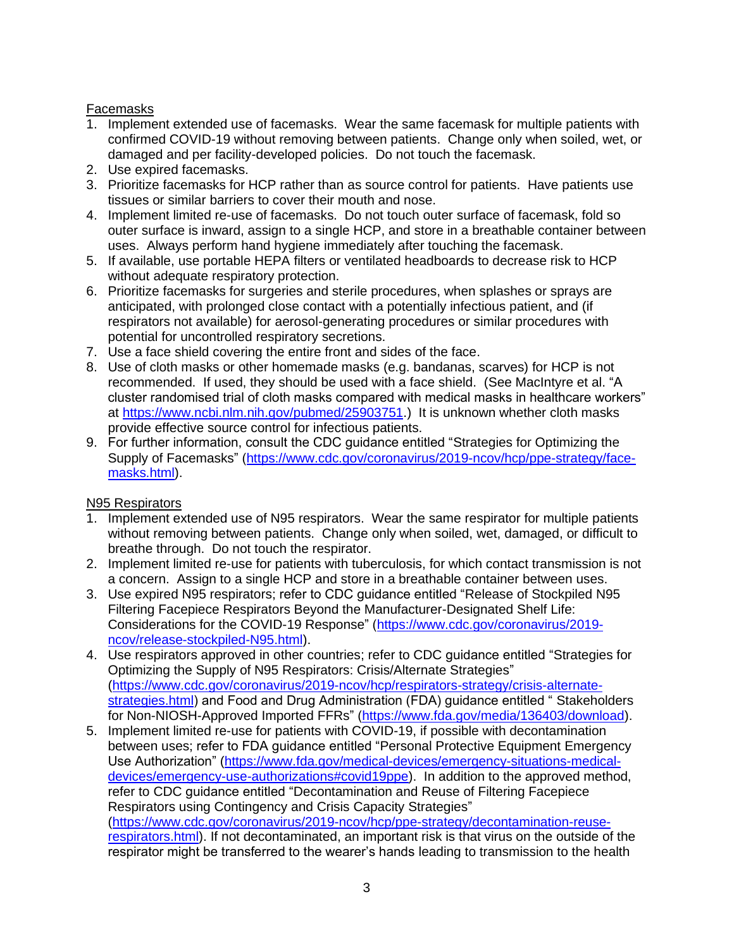## Facemasks

- 1. Implement extended use of facemasks. Wear the same facemask for multiple patients with confirmed COVID-19 without removing between patients. Change only when soiled, wet, or damaged and per facility-developed policies. Do not touch the facemask.
- 2. Use expired facemasks.
- 3. Prioritize facemasks for HCP rather than as source control for patients. Have patients use tissues or similar barriers to cover their mouth and nose.
- 4. Implement limited re-use of facemasks. Do not touch outer surface of facemask, fold so outer surface is inward, assign to a single HCP, and store in a breathable container between uses. Always perform hand hygiene immediately after touching the facemask.
- 5. If available, use portable HEPA filters or ventilated headboards to decrease risk to HCP without adequate respiratory protection.
- 6. Prioritize facemasks for surgeries and sterile procedures, when splashes or sprays are anticipated, with prolonged close contact with a potentially infectious patient, and (if respirators not available) for aerosol-generating procedures or similar procedures with potential for uncontrolled respiratory secretions.
- 7. Use a face shield covering the entire front and sides of the face.
- 8. Use of cloth masks or other homemade masks (e.g. bandanas, scarves) for HCP is not recommended. If used, they should be used with a face shield. (See MacIntyre et al. "A cluster randomised trial of cloth masks compared with medical masks in healthcare workers" at [https://www.ncbi.nlm.nih.gov/pubmed/25903751.](https://www.ncbi.nlm.nih.gov/pubmed/25903751)) It is unknown whether cloth masks provide effective source control for infectious patients.
- 9. For further information, consult the CDC guidance entitled "Strategies for Optimizing the Supply of Facemasks" [\(https://www.cdc.gov/coronavirus/2019-ncov/hcp/ppe-strategy/face](https://www.cdc.gov/coronavirus/2019-ncov/hcp/ppe-strategy/face-masks.html)[masks.html\)](https://www.cdc.gov/coronavirus/2019-ncov/hcp/ppe-strategy/face-masks.html).

# N95 Respirators

- 1. Implement extended use of N95 respirators. Wear the same respirator for multiple patients without removing between patients. Change only when soiled, wet, damaged, or difficult to breathe through. Do not touch the respirator.
- 2. Implement limited re-use for patients with tuberculosis, for which contact transmission is not a concern. Assign to a single HCP and store in a breathable container between uses.
- 3. Use expired N95 respirators; refer to CDC guidance entitled "Release of Stockpiled N95 Filtering Facepiece Respirators Beyond the Manufacturer-Designated Shelf Life: Considerations for the COVID-19 Response" [\(https://www.cdc.gov/coronavirus/2019](https://www.cdc.gov/coronavirus/2019-ncov/release-stockpiled-N95.html) [ncov/release-stockpiled-N95.html\)](https://www.cdc.gov/coronavirus/2019-ncov/release-stockpiled-N95.html).
- 4. Use respirators approved in other countries; refer to CDC guidance entitled "Strategies for Optimizing the Supply of N95 Respirators: Crisis/Alternate Strategies" [\(https://www.cdc.gov/coronavirus/2019-ncov/hcp/respirators-strategy/crisis-alternate](https://www.cdc.gov/coronavirus/2019-ncov/hcp/respirators-strategy/crisis-alternate-strategies.html)[strategies.html\)](https://www.cdc.gov/coronavirus/2019-ncov/hcp/respirators-strategy/crisis-alternate-strategies.html) and Food and Drug Administration (FDA) guidance entitled " Stakeholders for Non-NIOSH-Approved Imported FFRs" [\(https://www.fda.gov/media/136403/download\)](https://www.fda.gov/media/136403/download).
- 5. Implement limited re-use for patients with COVID-19, if possible with decontamination between uses; refer to FDA guidance entitled "Personal Protective Equipment Emergency Use Authorization" [\(https://www.fda.gov/medical-devices/emergency-situations-medical](https://www.fda.gov/medical-devices/emergency-situations-medical-devices/emergency-use-authorizations#covid19ppe)[devices/emergency-use-authorizations#covid19ppe\)](https://www.fda.gov/medical-devices/emergency-situations-medical-devices/emergency-use-authorizations#covid19ppe). In addition to the approved method, refer to CDC guidance entitled "Decontamination and Reuse of Filtering Facepiece Respirators using Contingency and Crisis Capacity Strategies" [\(https://www.cdc.gov/coronavirus/2019-ncov/hcp/ppe-strategy/decontamination-reuse](https://www.cdc.gov/coronavirus/2019-ncov/hcp/ppe-strategy/decontamination-reuse-respirators.html)[respirators.html\)](https://www.cdc.gov/coronavirus/2019-ncov/hcp/ppe-strategy/decontamination-reuse-respirators.html). If not decontaminated, an important risk is that virus on the outside of the respirator might be transferred to the wearer's hands leading to transmission to the health